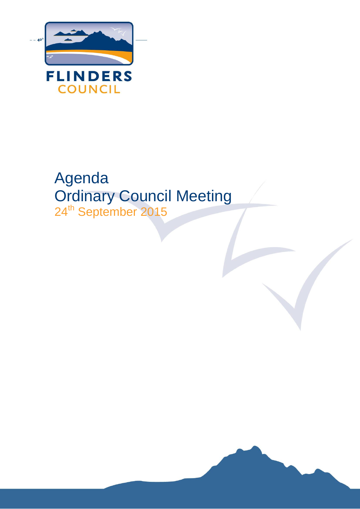

# Agenda Ordinary Council Meeting 24<sup>th</sup> September 2015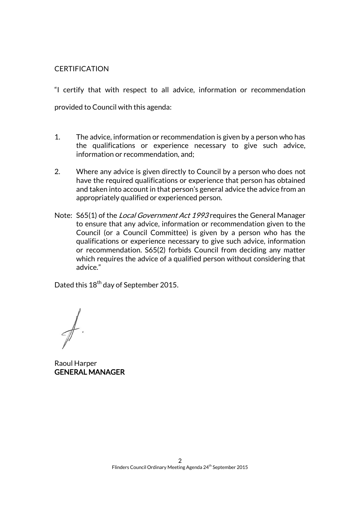## **CERTIFICATION**

"I certify that with respect to all advice, information or recommendation provided to Council with this agenda:

- 1. The advice, information or recommendation is given by a person who has the qualifications or experience necessary to give such advice, information or recommendation, and;
- 2. Where any advice is given directly to Council by a person who does not have the required qualifications or experience that person has obtained and taken into account in that person's general advice the advice from an appropriately qualified or experienced person.
- Note: S65(1) of the *Local Government Act 1993* requires the General Manager to ensure that any advice, information or recommendation given to the Council (or a Council Committee) is given by a person who has the qualifications or experience necessary to give such advice, information or recommendation. S65(2) forbids Council from deciding any matter which requires the advice of a qualified person without considering that advice."

Dated this 18<sup>th</sup> day of September 2015.

Raoul Harper GENERAL MANAGER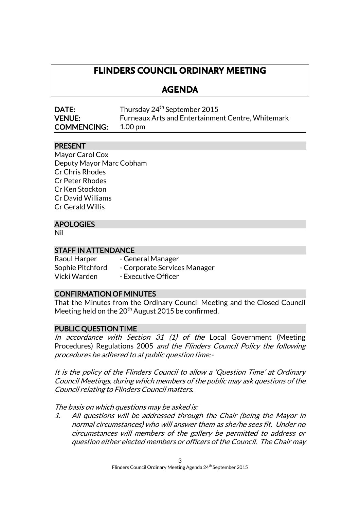## **FLINDERS COUNCIL ORDINARY MEETING**

## **AGENDA**

| DATE:              | Thursday 24 <sup>th</sup> September 2015                 |
|--------------------|----------------------------------------------------------|
| <b>VENUE:</b>      | <b>Furneaux Arts and Entertainment Centre, Whitemark</b> |
| <b>COMMENCING:</b> | 1.00 pm                                                  |

## PRESENT

Mayor Carol Cox Deputy Mayor Marc Cobham Cr Chris Rhodes Cr Peter Rhodes Cr Ken Stockton Cr David Williams Cr Gerald Willis

## APOLOGIES

Nil

## STAFF IN ATTENDANCE

Raoul Harper - General Manager Sophie Pitchford - Corporate Services Manager Vicki Warden - Executive Officer

## CONFIRMATION OF MINUTES

That the Minutes from the Ordinary Council Meeting and the Closed Council Meeting held on the  $20<sup>th</sup>$  August 2015 be confirmed.

#### PUBLIC QUESTION TIME

In accordance with Section 31  $(1)$  of the Local Government (Meeting Procedures) Regulations 2005 and the Flinders Council Policy the following procedures be adhered to at public question time:-

It is the policy of the Flinders Council to allow a 'Question Time' at Ordinary Council Meetings, during which members of the public may ask questions of the Council relating to Flinders Council matters.

The basis on which questions may be asked is:

1. All questions will be addressed through the Chair (being the Mayor in normal circumstances) who will answer them as she/he sees fit. Under no circumstances will members of the gallery be permitted to address or question either elected members or officers of the Council. The Chair may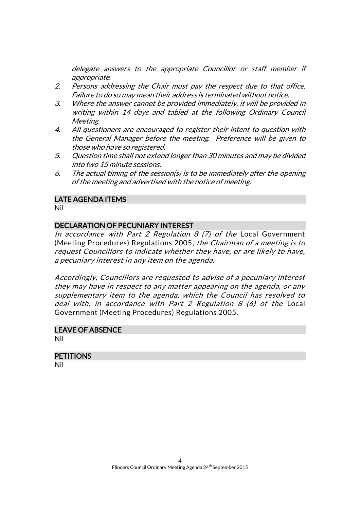delegate answers to the appropriate Councillor or staff member if appropriate.

- 2. Persons addressing the Chair must pay the respect due to that office. Failure to do so may mean their address is terminated without notice.
- 3. Where the answer cannot be provided immediately, it will be provided in writing within 14 days and tabled at the following Ordinary Council Meeting.
- 4. All questioners are encouraged to register their intent to question with the General Manager before the meeting. Preference will be given to those who have so registered.
- 5. Question time shall not extend longer than 30 minutes and may be divided into two 15 minute sessions.
- 6. The actual timing of the session(s) is to be immediately after the opening of the meeting and advertised with the notice of meeting.

### LATE AGENDA ITEMS

Nil

## DECLARATION OF PECUNIARY INTEREST

In accordance with Part 2 Regulation 8  $(7)$  of the Local Government (Meeting Procedures) Regulations 2005, the Chairman of a meeting is to request Councillors to indicate whether they have, or are likely to have, a pecuniary interest in any item on the agenda.

Accordingly, Councillors are requested to advise of a pecuniary interest they may have in respect to any matter appearing on the agenda, or any supplementary item to the agenda, which the Council has resolved to deal with, in accordance with Part 2 Regulation 8 (6) of the Local Government (Meeting Procedures) Regulations 2005.

## LEAVE OF ABSENCE

Nil

## **PETITIONS**

Nil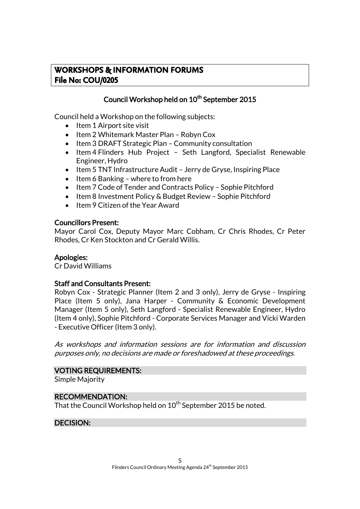## **WORKSHOPS & INFORMATION FORUMS File No: COU/0205**

## Council Workshop held on 10<sup>th</sup> September 2015

Council held a Workshop on the following subjects:

- $\bullet$  Item 1 Airport site visit
- Item 2 Whitemark Master Plan Robyn Cox
- Item 3 DRAFT Strategic Plan Community consultation
- Item 4 Flinders Hub Project Seth Langford, Specialist Renewable Engineer, Hydro
- Item 5 TNT Infrastructure Audit Jerry de Gryse, Inspiring Place
- $\bullet$  Item 6 Banking where to from here
- Item 7 Code of Tender and Contracts Policy Sophie Pitchford
- Item 8 Investment Policy & Budget Review Sophie Pitchford
- Item 9 Citizen of the Year Award

#### Councillors Present:

Mayor Carol Cox, Deputy Mayor Marc Cobham, Cr Chris Rhodes, Cr Peter Rhodes, Cr Ken Stockton and Cr Gerald Willis.

## Apologies:

Cr David Williams

#### Staff and Consultants Present:

Robyn Cox - Strategic Planner (Item 2 and 3 only), Jerry de Gryse - Inspiring Place (Item 5 only), Jana Harper - Community & Economic Development Manager (Item 5 only), Seth Langford - Specialist Renewable Engineer, Hydro (Item 4 only), Sophie Pitchford - Corporate Services Manager and Vicki Warden - Executive Officer (Item 3 only).

As workshops and information sessions are for information and discussion purposes only, no decisions are made or foreshadowed at these proceedings.

#### VOTING REQUIREMENTS:

Simple Majority

#### RECOMMENDATION:

That the Council Workshop held on 10<sup>th</sup> September 2015 be noted.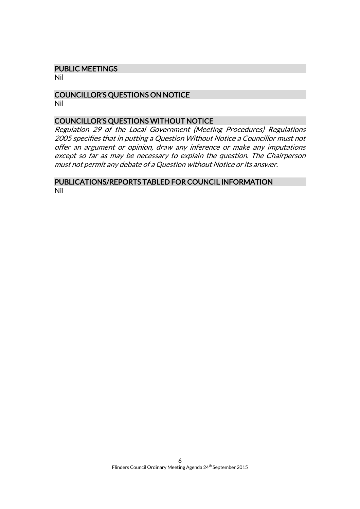#### PUBLIC MEETINGS

Nil

#### COUNCILLOR'S QUESTIONS ON NOTICE Nil

#### COUNCILLOR'S QUESTIONS WITHOUT NOTICE

Regulation 29 of the Local Government (Meeting Procedures) Regulations 2005 specifies that in putting a Question Without Notice a Councillor must not offer an argument or opinion, draw any inference or make any imputations except so far as may be necessary to explain the question. The Chairperson must not permit any debate of a Question without Notice or its answer.

#### PUBLICATIONS/REPORTS TABLED FOR COUNCIL INFORMATION Nil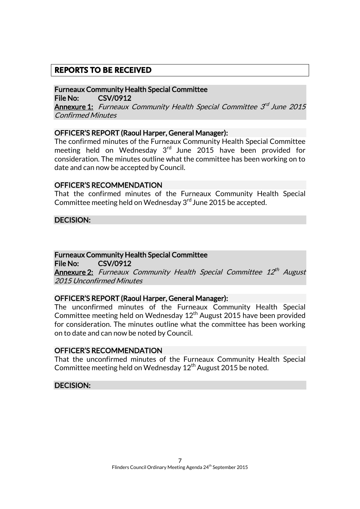## **REPORTS TO BE RECEIVED**

Furneaux Community Health Special Committee File No: CSV/0912

**Annexure 1:** Furneaux Community Health Special Committee 3<sup>rd</sup> June 2015 Confirmed Minutes

#### OFFICER'S REPORT (Raoul Harper, General Manager):

The confirmed minutes of the Furneaux Community Health Special Committee meeting held on Wednesday  $3<sup>rd</sup>$  June 2015 have been provided for consideration. The minutes outline what the committee has been working on to date and can now be accepted by Council.

#### OFFICER'S RECOMMENDATION

That the confirmed minutes of the Furneaux Community Health Special Committee meeting held on Wednesday 3<sup>rd</sup> June 2015 be accepted.

DECISION:

## Furneaux Community Health Special Committee

File No: CSV/0912

**Annexure 2:** Furneaux Community Health Special Committee 12<sup>th</sup> August 2015 Unconfirmed Minutes

#### OFFICER'S REPORT (Raoul Harper, General Manager):

The unconfirmed minutes of the Furneaux Community Health Special Committee meeting held on Wednesday 12<sup>th</sup> August 2015 have been provided for consideration. The minutes outline what the committee has been working on to date and can now be noted by Council.

#### OFFICER'S RECOMMENDATION

That the unconfirmed minutes of the Furneaux Community Health Special Committee meeting held on Wednesday  $12<sup>th</sup>$  August 2015 be noted.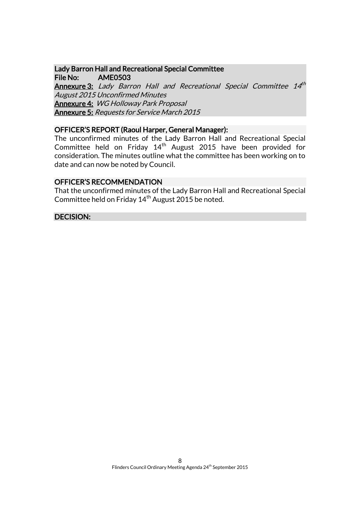## Lady Barron Hall and Recreational Special Committee File No: AME0503 **Annexure 3:** Lady Barron Hall and Recreational Special Committee 14<sup>th</sup> August 2015 Unconfirmed Minutes Annexure 4: WG Holloway Park Proposal Annexure 5: Requests for Service March 2015

#### OFFICER'S REPORT (Raoul Harper, General Manager):

The unconfirmed minutes of the Lady Barron Hall and Recreational Special Committee held on Friday 14th August 2015 have been provided for consideration. The minutes outline what the committee has been working on to date and can now be noted by Council.

#### OFFICER'S RECOMMENDATION

That the unconfirmed minutes of the Lady Barron Hall and Recreational Special Committee held on Friday  $14<sup>th</sup>$  August 2015 be noted.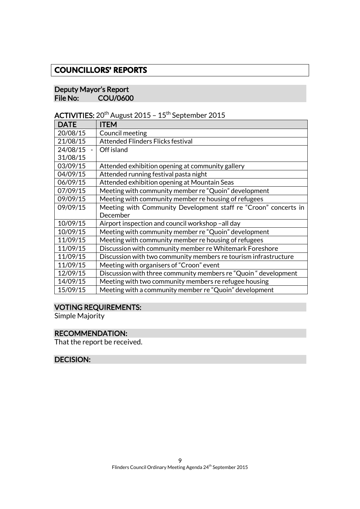## **COUNCILLORS' REPORTS**

#### Deputy Mayor's Report<br>File No: COU/060 COU/0600

ACTIVITIES:  $20^{th}$  August 2015 - 15<sup>th</sup> September 2015

| <b>DATE</b> | <b>ITEM</b>                                                     |
|-------------|-----------------------------------------------------------------|
| 20/08/15    | Council meeting                                                 |
| 21/08/15    | <b>Attended Flinders Flicks festival</b>                        |
| 24/08/15    | Off island                                                      |
| 31/08/15    |                                                                 |
| 03/09/15    | Attended exhibition opening at community gallery                |
| 04/09/15    | Attended running festival pasta night                           |
| 06/09/15    | Attended exhibition opening at Mountain Seas                    |
| 07/09/15    | Meeting with community member re "Quoin" development            |
| 09/09/15    | Meeting with community member re housing of refugees            |
| 09/09/15    | Meeting with Community Development staff re "Croon" concerts in |
|             | December                                                        |
| 10/09/15    | Airport inspection and council workshop-all day                 |
| 10/09/15    | Meeting with community member re "Quoin" development            |
| 11/09/15    | Meeting with community member re housing of refugees            |
| 11/09/15    | Discussion with community member re Whitemark Foreshore         |
| 11/09/15    | Discussion with two community members re tourism infrastructure |
| 11/09/15    | Meeting with organisers of "Croon" event                        |
| 12/09/15    | Discussion with three community members re "Quoin" development  |
| 14/09/15    | Meeting with two community members re refugee housing           |
| 15/09/15    | Meeting with a community member re "Quoin" development          |

## VOTING REQUIREMENTS:

Simple Majority

## RECOMMENDATION:

That the report be received.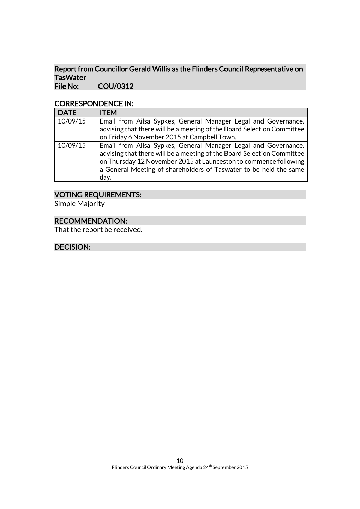#### Report from Councillor Gerald Willis as the Flinders Council Representative on TasWater<br>File No: COU/0312

#### CORRESPONDENCE IN:

| <b>DATE</b> | <b>ITEM</b>                                                            |
|-------------|------------------------------------------------------------------------|
| 10/09/15    | Email from Ailsa Sypkes, General Manager Legal and Governance,         |
|             | advising that there will be a meeting of the Board Selection Committee |
|             | on Friday 6 November 2015 at Campbell Town.                            |
| 10/09/15    | Email from Ailsa Sypkes, General Manager Legal and Governance,         |
|             | advising that there will be a meeting of the Board Selection Committee |
|             | on Thursday 12 November 2015 at Launceston to commence following       |
|             | a General Meeting of shareholders of Taswater to be held the same      |
|             | day.                                                                   |

## VOTING REQUIREMENTS:

Simple Majority

## RECOMMENDATION:

That the report be received.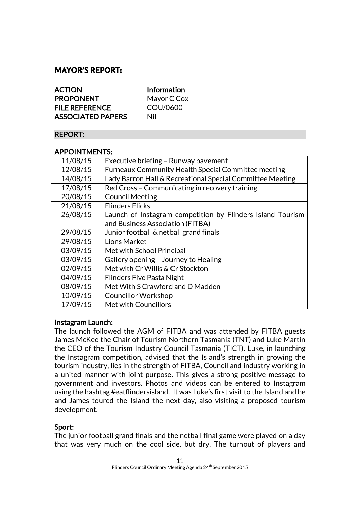## **MAYOR'S REPORT:**

| <b>ACTION</b>            | Information |
|--------------------------|-------------|
| <b>PROPONENT</b>         | Mayor C Cox |
| <b>FILE REFERENCE</b>    | COU/0600    |
| <b>ASSOCIATED PAPERS</b> | Nil         |

## REPORT:

### APPOINTMENTS:

| 11/08/15 | Executive briefing - Runway pavement                       |
|----------|------------------------------------------------------------|
| 12/08/15 | <b>Furneaux Community Health Special Committee meeting</b> |
| 14/08/15 | Lady Barron Hall & Recreational Special Committee Meeting  |
| 17/08/15 | Red Cross - Communicating in recovery training             |
| 20/08/15 | <b>Council Meeting</b>                                     |
| 21/08/15 | <b>Flinders Flicks</b>                                     |
| 26/08/15 | Launch of Instagram competition by Flinders Island Tourism |
|          | and Business Association (FITBA)                           |
| 29/08/15 | Junior football & netball grand finals                     |
| 29/08/15 | Lions Market                                               |
| 03/09/15 | Met with School Principal                                  |
| 03/09/15 | Gallery opening - Journey to Healing                       |
| 02/09/15 | Met with Cr Willis & Cr Stockton                           |
| 04/09/15 | <b>Flinders Five Pasta Night</b>                           |
| 08/09/15 | Met With S Crawford and D Madden                           |
| 10/09/15 | <b>Councillor Workshop</b>                                 |
| 17/09/15 | Met with Councillors                                       |

## Instagram Launch:

The launch followed the AGM of FITBA and was attended by FITBA guests James McKee the Chair of Tourism Northern Tasmania (TNT) and Luke Martin the CEO of the Tourism Industry Council Tasmania (TICT). Luke, in launching the Instagram competition, advised that the Island's strength in growing the tourism industry, lies in the strength of FITBA, Council and industry working in a united manner with joint purpose. This gives a strong positive message to government and investors. Photos and videos can be entered to Instagram using the hashtag #eatflindersisland. It was Luke's first visit to the Island and he and James toured the Island the next day, also visiting a proposed tourism development.

## Sport:

The junior football grand finals and the netball final game were played on a day that was very much on the cool side, but dry. The turnout of players and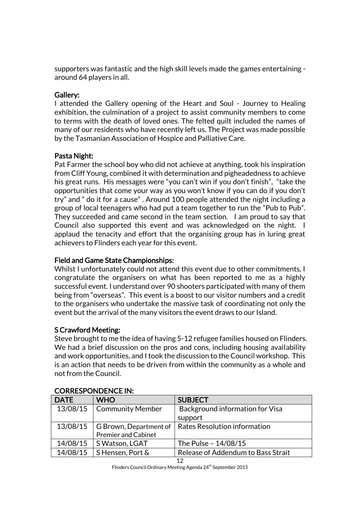supporters was fantastic and the high skill levels made the games entertaining around 64 players in all.

## Gallery:

I attended the Gallery opening of the Heart and Soul - Journey to Healing exhibition, the culmination of a project to assist community members to come to terms with the death of loved ones. The felted quilt included the names of many of our residents who have recently left us. The Project was made possible by the Tasmanian Association of Hospice and Palliative Care.

## Pasta Night:

Pat Farmer the school boy who did not achieve at anything, took his inspiration from Cliff Young, combined it with determination and pigheadedness to achieve his great runs. His messages were "you can't win if you don't finish", "take the opportunities that come your way as you won't know if you can do if you don't try" and " do it for a cause" . Around 100 people attended the night including a group of local teenagers who had put a team together to run the "Pub to Pub". They succeeded and came second in the team section. I am proud to say that Council also supported this event and was acknowledged on the night. I applaud the tenacity and effort that the organising group has in luring great achievers to Flinders each year for this event.

## Field and Game State Championships:

Whilst I unfortunately could not attend this event due to other commitments, I congratulate the organisers on what has been reported to me as a highly successful event. I understand over 90 shooters participated with many of them being from "overseas". This event is a boost to our visitor numbers and a credit to the organisers who undertake the massive task of coordinating not only the event but the arrival of the many visitors the event draws to our Island.

## S Crawford Meeting:

Steve brought to me the idea of having 5-12 refugee families housed on Flinders. We had a brief discussion on the pros and cons, including housing availability and work opportunities, and I took the discussion to the Council workshop. This is an action that needs to be driven from within the community as a whole and not from the Council.

| <b>DATE</b> | <b>WHO</b>                 | <b>SUBJECT</b>                     |
|-------------|----------------------------|------------------------------------|
| 13/08/15    | <b>Community Member</b>    | Background information for Visa    |
|             |                            | support                            |
| 13/08/15    | G Brown, Department of     | Rates Resolution information       |
|             | <b>Premier and Cabinet</b> |                                    |
| 14/08/15    | S Watson, LGAT             | The Pulse - 14/08/15               |
| 14/08/15    | S Hensen, Port &           | Release of Addendum to Bass Strait |

## CORRESPONDENCE IN: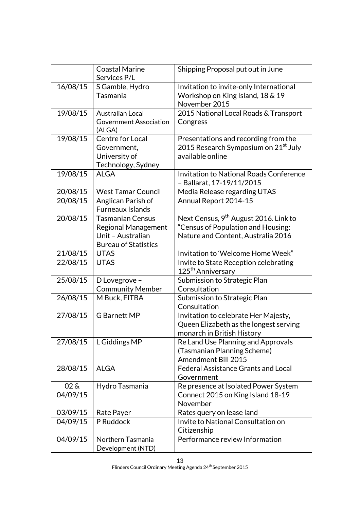|                        | <b>Coastal Marine</b><br>Services P/L                                                                     | Shipping Proposal put out in June                                                                                             |
|------------------------|-----------------------------------------------------------------------------------------------------------|-------------------------------------------------------------------------------------------------------------------------------|
| 16/08/15               | S Gamble, Hydro<br>Tasmania                                                                               | Invitation to invite-only International<br>Workshop on King Island, 18 & 19<br>November 2015                                  |
| 19/08/15               | <b>Australian Local</b><br><b>Government Association</b><br>(ALGA)                                        | 2015 National Local Roads & Transport<br>Congress                                                                             |
| 19/08/15               | Centre for Local<br>Government,<br>University of<br>Technology, Sydney                                    | Presentations and recording from the<br>2015 Research Symposium on 21 <sup>st</sup> July<br>available online                  |
| 19/08/15               | <b>ALGA</b>                                                                                               | <b>Invitation to National Roads Conference</b><br>- Ballarat, 17-19/11/2015                                                   |
| 20/08/15               | <b>West Tamar Council</b>                                                                                 | Media Release regarding UTAS                                                                                                  |
| 20/08/15               | Anglican Parish of<br><b>Furneaux Islands</b>                                                             | Annual Report 2014-15                                                                                                         |
| 20/08/15               | <b>Tasmanian Census</b><br><b>Regional Management</b><br>Unit - Australian<br><b>Bureau of Statistics</b> | Next Census, 9 <sup>th</sup> August 2016. Link to<br>"Census of Population and Housing:<br>Nature and Content, Australia 2016 |
| 21/08/15               | <b>UTAS</b>                                                                                               | Invitation to 'Welcome Home Week"                                                                                             |
| 22/08/15               | <b>UTAS</b>                                                                                               | Invite to State Reception celebrating<br>125 <sup>th</sup> Anniversary                                                        |
| 25/08/15               | D Lovegrove -<br><b>Community Member</b>                                                                  | Submission to Strategic Plan<br>Consultation                                                                                  |
| 26/08/15               | M Buck, FITBA                                                                                             | Submission to Strategic Plan<br>Consultation                                                                                  |
| 27/08/15               | <b>G</b> Barnett MP                                                                                       | Invitation to celebrate Her Majesty,<br>Queen Elizabeth as the longest serving<br>monarch in British History                  |
| 27/08/15               | L Giddings MP                                                                                             | Re Land Use Planning and Approvals<br>(Tasmanian Planning Scheme)<br>Amendment Bill 2015                                      |
| 28/08/15               | <b>ALGA</b>                                                                                               | <b>Federal Assistance Grants and Local</b><br>Government                                                                      |
| $02\delta$<br>04/09/15 | Hydro Tasmania                                                                                            | Re presence at Isolated Power System<br>Connect 2015 on King Island 18-19<br>November                                         |
| 03/09/15               | Rate Payer                                                                                                | Rates query on lease land                                                                                                     |
| 04/09/15               | P Ruddock                                                                                                 | Invite to National Consultation on<br>Citizenship                                                                             |
| 04/09/15               | Northern Tasmania<br>Development (NTD)                                                                    | Performance review Information                                                                                                |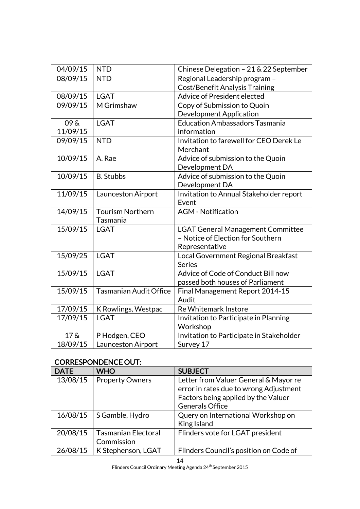| 04/09/15           | <b>NTD</b>                    | Chinese Delegation - 21 & 22 September              |
|--------------------|-------------------------------|-----------------------------------------------------|
| 08/09/15           | <b>NTD</b>                    | Regional Leadership program -                       |
|                    |                               | <b>Cost/Benefit Analysis Training</b>               |
| 08/09/15           | <b>LGAT</b>                   | Advice of President elected                         |
| 09/09/15           | M Grimshaw                    | Copy of Submission to Quoin                         |
|                    |                               | <b>Development Application</b>                      |
| $09\,\mathrm{\AA}$ | <b>LGAT</b>                   | <b>Education Ambassadors Tasmania</b>               |
| 11/09/15           |                               | information                                         |
| 09/09/15           | <b>NTD</b>                    | Invitation to farewell for CEO Derek Le<br>Merchant |
| 10/09/15           | A. Rae                        | Advice of submission to the Quoin<br>Development DA |
| 10/09/15           | <b>B.</b> Stubbs              | Advice of submission to the Quoin                   |
|                    |                               | Development DA                                      |
| 11/09/15           | Launceston Airport            | Invitation to Annual Stakeholder report             |
|                    |                               | Event                                               |
| 14/09/15           | <b>Tourism Northern</b>       | <b>AGM</b> - Notification                           |
|                    | Tasmania                      |                                                     |
| 15/09/15           | <b>LGAT</b>                   | <b>LGAT General Management Committee</b>            |
|                    |                               | - Notice of Election for Southern                   |
|                    |                               | Representative                                      |
| 15/09/25           | <b>LGAT</b>                   | Local Government Regional Breakfast                 |
| 15/09/15           | <b>LGAT</b>                   | <b>Series</b><br>Advice of Code of Conduct Bill now |
|                    |                               | passed both houses of Parliament                    |
| 15/09/15           | <b>Tasmanian Audit Office</b> | Final Management Report 2014-15                     |
|                    |                               | Audit                                               |
| 17/09/15           | K Rowlings, Westpac           | Re Whitemark Instore                                |
| 17/09/15           | <b>LGAT</b>                   | Invitation to Participate in Planning               |
|                    |                               | Workshop                                            |
| 17 <sub>8</sub>    | P Hodgen, CEO                 | Invitation to Participate in Stakeholder            |
| 18/09/15           | Launceston Airport            | Survey 17                                           |

## CORRESPONDENCE OUT:

| <b>DATE</b> | <b>WHO</b>                               | <b>SUBJECT</b>                                                                                                                                   |
|-------------|------------------------------------------|--------------------------------------------------------------------------------------------------------------------------------------------------|
| 13/08/15    | <b>Property Owners</b>                   | Letter from Valuer General & Mayor re<br>error in rates due to wrong Adjustment<br>Factors being applied by the Valuer<br><b>Generals Office</b> |
| 16/08/15    | S Gamble, Hydro                          | Query on International Workshop on<br>King Island                                                                                                |
| 20/08/15    | <b>Tasmanian Electoral</b><br>Commission | Flinders vote for LGAT president                                                                                                                 |
| 26/08/15    | K Stephenson, LGAT                       | Flinders Council's position on Code of                                                                                                           |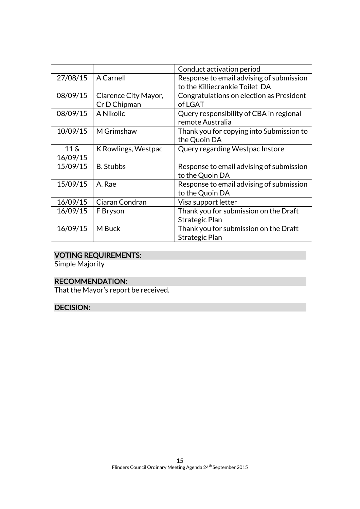|                                |                                      | Conduct activation period                                                  |
|--------------------------------|--------------------------------------|----------------------------------------------------------------------------|
| 27/08/15                       | <b>A Carnell</b>                     | Response to email advising of submission<br>to the Killiecrankie Toilet DA |
| 08/09/15                       | Clarence City Mayor,<br>Cr D Chipman | Congratulations on election as President<br>of LGAT                        |
| 08/09/15                       | A Nikolic                            | Query responsibility of CBA in regional<br>remote Australia                |
| 10/09/15                       | M Grimshaw                           | Thank you for copying into Submission to<br>the Quoin DA                   |
| $11\,\mathrm{\AA}$<br>16/09/15 | K Rowlings, Westpac                  | Query regarding Westpac Instore                                            |
| 15/09/15                       | <b>B.</b> Stubbs                     | Response to email advising of submission<br>to the Quoin DA                |
| 15/09/15                       | A. Rae                               | Response to email advising of submission<br>to the Quoin DA                |
| 16/09/15                       | Ciaran Condran                       | Visa support letter                                                        |
| 16/09/15                       | F Bryson                             | Thank you for submission on the Draft<br>Strategic Plan                    |
| 16/09/15                       | M Buck                               | Thank you for submission on the Draft<br>Strategic Plan                    |

## VOTING REQUIREMENTS:

Simple Majority

## RECOMMENDATION:

That the Mayor's report be received.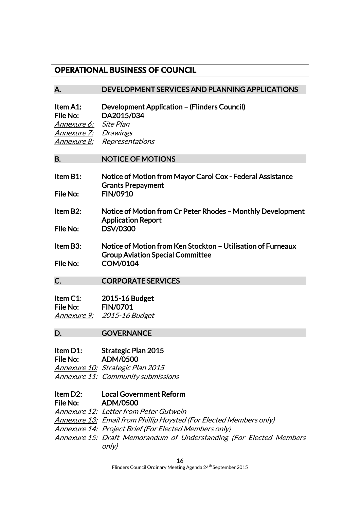## **OPERATIONAL BUSINESS OF COUNCIL**

### A. DEVELOPMENT SERVICES AND PLANNING APPLICATIONS

| Item A1:<br>File No:  | Development Application – (Flinders Council)<br>DA2015/034 |
|-----------------------|------------------------------------------------------------|
| Annexure 6: Site Plan |                                                            |
| Annexure 7: Drawings  |                                                            |
|                       | <b>Annexure 8:</b> Representations                         |

#### B. NOTICE OF MOTIONS

| Item B1: | Notice of Motion from Mayor Carol Cox - Federal Assistance |
|----------|------------------------------------------------------------|
|          | <b>Grants Prepayment</b>                                   |
| File No: | <b>FIN/0910</b>                                            |

- Item B2: Notice of Motion from Cr Peter Rhodes Monthly Development Application Report File No: DSV/0300
- Item B3: Notice of Motion from Ken Stockton Utilisation of Furneaux Group Aviation Special Committee File No: COM/0104
- C. CORPORATE SERVICES

| Item $C1$ : | 2015-16 Budget  |
|-------------|-----------------|
| File No:    | <b>FIN/0701</b> |
| Annexure 9: | 2015-16 Budget  |

#### D. **GOVERNANCE**

#### Item D1: Strategic Plan 2015 File No: ADM/0500

Annexure 10: Strategic Plan 2015 Annexure 11: Community submissions

#### Item D2: Local Government Reform File No: ADM/0500

Annexure 12: Letter from Peter Gutwein Annexure 13: Email from Phillip Hoysted (For Elected Members only) Annexure 14: Project Brief (For Elected Members only) **Annexure 15: Draft Memorandum of Understanding (For Elected Members** only)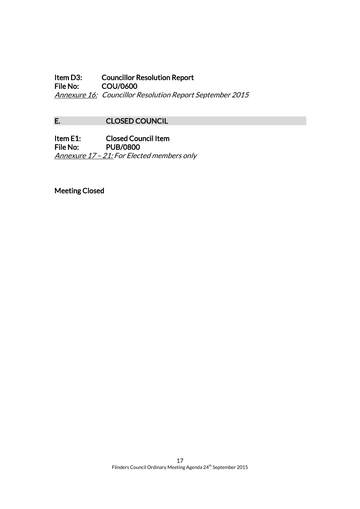Item D3: Councillor Resolution Report<br>File No: COU/0600 COU/0600 Annexure 16: Councillor Resolution Report September 2015

## E. CLOSED COUNCIL

Item E1: Closed Council Item File No: PUB/0800 Annexure 17 - 21: For Elected members only

Meeting Closed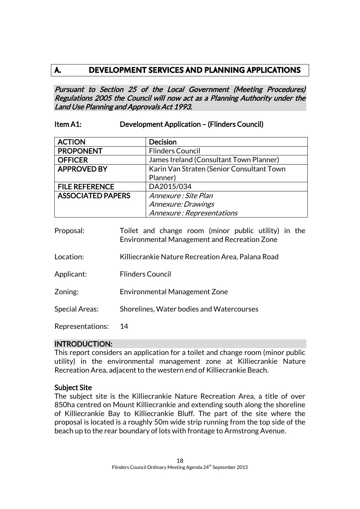## **A. DEVELOPMENT SERVICES AND PLANNING APPLICATIONS**

Pursuant to Section 25 of the Local Government (Meeting Procedures) Regulations 2005 the Council will now act as a Planning Authority under the Land Use Planning and Approvals Act 1993.

## Item A1: Development Application – (Flinders Council)

| <b>ACTION</b>            | <b>Decision</b>                           |
|--------------------------|-------------------------------------------|
| <b>PROPONENT</b>         | <b>Flinders Council</b>                   |
| <b>OFFICER</b>           | James Ireland (Consultant Town Planner)   |
| <b>APPROVED BY</b>       | Karin Van Straten (Senior Consultant Town |
|                          | Planner)                                  |
| <b>FILE REFERENCE</b>    | DA2015/034                                |
| <b>ASSOCIATED PAPERS</b> | Annexure : Site Plan                      |
|                          | Annexure: Drawings                        |
|                          | Annexure: Representations                 |

- Proposal: Toilet and change room (minor public utility) in the Environmental Management and Recreation Zone Location: Killiecrankie Nature Recreation Area, Palana Road
- 
- Applicant: Flinders Council
- Zoning: Environmental Management Zone
- Special Areas: Shorelines, Water bodies and Watercourses

Representations: 14

#### INTRODUCTION:

This report considers an application for a toilet and change room (minor public utility) in the environmental management zone at Killiecrankie Nature Recreation Area, adjacent to the western end of Killiecrankie Beach.

#### Subject Site

The subject site is the Killiecrankie Nature Recreation Area, a title of over 850ha centred on Mount Killiecrankie and extending south along the shoreline of Killiecrankie Bay to Killiecrankie Bluff. The part of the site where the proposal is located is a roughly 50m wide strip running from the top side of the beach up to the rear boundary of lots with frontage to Armstrong Avenue.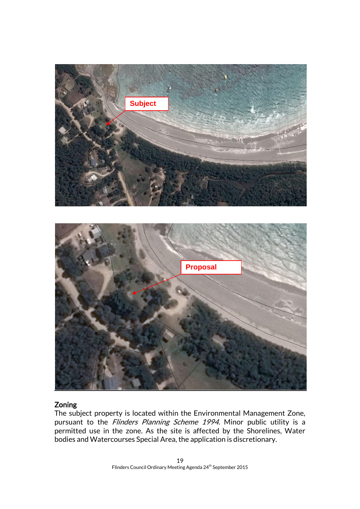

## Zoning

The subject property is located within the Environmental Management Zone, pursuant to the Flinders Planning Scheme 1994. Minor public utility is a permitted use in the zone. As the site is affected by the Shorelines, Water bodies and Watercourses Special Area, the application is discretionary.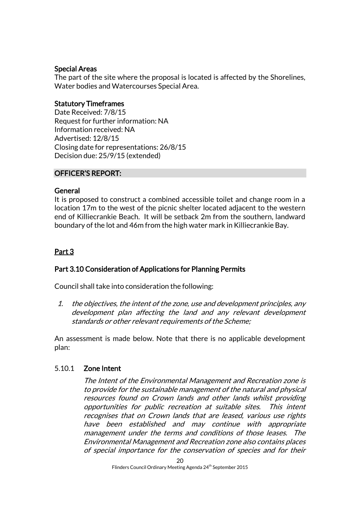## Special Areas

The part of the site where the proposal is located is affected by the Shorelines, Water bodies and Watercourses Special Area.

## Statutory Timeframes

Date Received: 7/8/15 Request for further information: NA Information received: NA Advertised: 12/8/15 Closing date for representations: 26/8/15 Decision due: 25/9/15 (extended)

## OFFICER'S REPORT:

## General

It is proposed to construct a combined accessible toilet and change room in a location 17m to the west of the picnic shelter located adjacent to the western end of Killiecrankie Beach. It will be setback 2m from the southern, landward boundary of the lot and 46m from the high water mark in Killiecrankie Bay.

## Part 3

## Part 3.10 Consideration of Applications for Planning Permits

Council shall take into consideration the following:

1. the objectives, the intent of the zone, use and development principles, any development plan affecting the land and any relevant development standards or other relevant requirements of the Scheme;

An assessment is made below. Note that there is no applicable development plan:

## 5.10.1 Zone Intent

The Intent of the Environmental Management and Recreation zone is to provide for the sustainable management of the natural and physical resources found on Crown lands and other lands whilst providing opportunities for public recreation at suitable sites. This intent recognises that on Crown lands that are leased, various use rights have been established and may continue with appropriate management under the terms and conditions of those leases. The Environmental Management and Recreation zone also contains places of special importance for the conservation of species and for their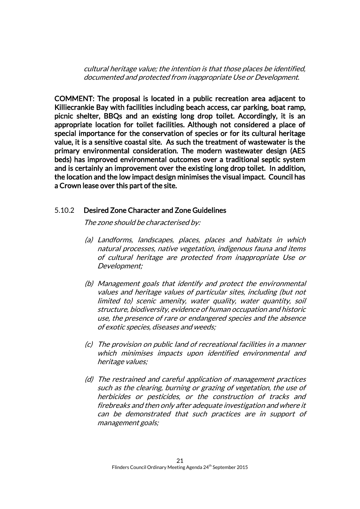cultural heritage value; the intention is that those places be identified, documented and protected from inappropriate Use or Development.

COMMENT: The proposal is located in a public recreation area adjacent to Killiecrankie Bay with facilities including beach access, car parking, boat ramp, picnic shelter, BBQs and an existing long drop toilet. Accordingly, it is an appropriate location for toilet facilities. Although not considered a place of special importance for the conservation of species or for its cultural heritage value, it is a sensitive coastal site. As such the treatment of wastewater is the primary environmental consideration. The modern wastewater design (AES beds) has improved environmental outcomes over a traditional septic system and is certainly an improvement over the existing long drop toilet. In addition, the location and the low impact design minimises the visual impact. Council has a Crown lease over this part of the site.

### 5.10.2 Desired Zone Character and Zone Guidelines

The zone should be characterised by:

- (a) Landforms, landscapes, places, places and habitats in which natural processes, native vegetation, indigenous fauna and items of cultural heritage are protected from inappropriate Use or Development;
- (b) Management goals that identify and protect the environmental values and heritage values of particular sites, including (but not limited to) scenic amenity, water quality, water quantity, soil structure, biodiversity, evidence of human occupation and historic use, the presence of rare or endangered species and the absence of exotic species, diseases and weeds;
- (c) The provision on public land of recreational facilities in a manner which minimises impacts upon identified environmental and heritage values;
- (d) The restrained and careful application of management practices such as the clearing, burning or grazing of vegetation, the use of herbicides or pesticides, or the construction of tracks and firebreaks and then only after adequate investigation and where it can be demonstrated that such practices are in support of management goals;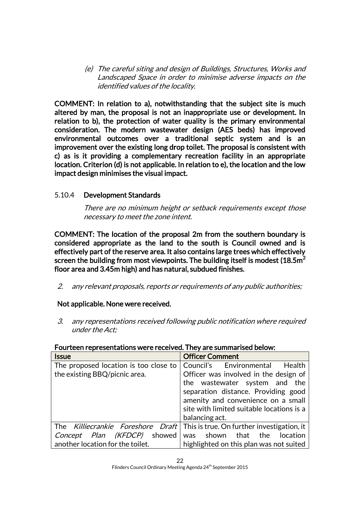(e) The careful siting and design of Buildings, Structures, Works and Landscaped Space in order to minimise adverse impacts on the identified values of the locality.

COMMENT: In relation to a), notwithstanding that the subject site is much altered by man, the proposal is not an inappropriate use or development. In relation to b), the protection of water quality is the primary environmental consideration. The modern wastewater design (AES beds) has improved environmental outcomes over a traditional septic system and is an improvement over the existing long drop toilet. The proposal is consistent with c) as is it providing a complementary recreation facility in an appropriate location. Criterion (d) is not applicable. In relation to e), the location and the low impact design minimises the visual impact.

## 5.10.4 Development Standards

There are no minimum height or setback requirements except those necessary to meet the zone intent.

COMMENT: The location of the proposal 2m from the southern boundary is considered appropriate as the land to the south is Council owned and is effectively part of the reserve area. It also contains large trees which effectively screen the building from most viewpoints. The building itself is modest  $(18.5m<sup>2</sup>$ floor area and 3.45m high) and has natural, subdued finishes.

2. any relevant proposals, reports or requirements of any public authorities;

## Not applicable. None were received.

3. any representations received following public notification where required under the Act;

| <b>Issue</b>                          | <b>Officer Comment</b>                     |
|---------------------------------------|--------------------------------------------|
| The proposed location is too close to | Council's Environmental<br>Health          |
| the existing BBQ/picnic area.         | Officer was involved in the design of      |
|                                       | the wastewater system and the              |
|                                       | separation distance. Providing good        |
|                                       | amenity and convenience on a small         |
|                                       | site with limited suitable locations is a  |
|                                       | balancing act.                             |
| The Killiecrankie Foreshore Draft     | This is true. On further investigation, it |
| Concept Plan (KFDCP) showed           | was shown that the<br>location             |
| another location for the toilet.      | highlighted on this plan was not suited    |

#### Fourteen representations were received. They are summarised below: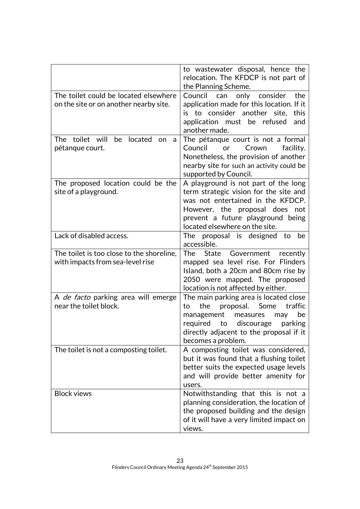|                                                                                 | to wastewater disposal, hence the<br>relocation. The KFDCP is not part of<br>the Planning Scheme.                                                                                                                                   |
|---------------------------------------------------------------------------------|-------------------------------------------------------------------------------------------------------------------------------------------------------------------------------------------------------------------------------------|
| The toilet could be located elsewhere<br>on the site or on another nearby site. | only consider<br>Council<br>can<br>the<br>application made for this location. If it<br>is to consider another site,<br>this<br>application must be<br>refused<br>and<br>another made.                                               |
| toilet will<br>located<br>The<br>be<br>on<br>a<br>pétanque court.               | The pétanque court is not a formal<br>Council<br>or<br>Crown<br>facility.<br>Nonetheless, the provision of another<br>nearby site for such an activity could be<br>supported by Council.                                            |
| The proposed location could be the<br>site of a playground.                     | A playground is not part of the long<br>term strategic vision for the site and<br>was not entertained in the KFDCP.<br>However, the proposal does<br>not<br>prevent a future playground being<br>located elsewhere on the site.     |
| Lack of disabled access.                                                        | The proposal is designed to<br>be<br>accessible.                                                                                                                                                                                    |
| The toilet is too close to the shoreline,<br>with impacts from sea-level rise   | The<br>State<br>Government recently<br>mapped sea level rise. For Flinders<br>Island, both a 20cm and 80cm rise by<br>2050 were mapped. The proposed<br>location is not affected by either.                                         |
| A <i>de facto</i> parking area will emerge<br>near the toilet block.            | The main parking area is located close<br>the<br>proposal.<br>Some<br>traffic<br>to<br>management<br>be<br>measures<br>may<br>required<br>to discourage<br>parking<br>directly adjacent to the proposal if it<br>becomes a problem. |
| The toilet is not a composting toilet.                                          | A composting toilet was considered,<br>but it was found that a flushing toilet<br>better suits the expected usage levels<br>and will provide better amenity for<br>users.                                                           |
| <b>Block views</b>                                                              | Notwithstanding that this is not a<br>planning consideration, the location of<br>the proposed building and the design<br>of it will have a very limited impact on<br>views.                                                         |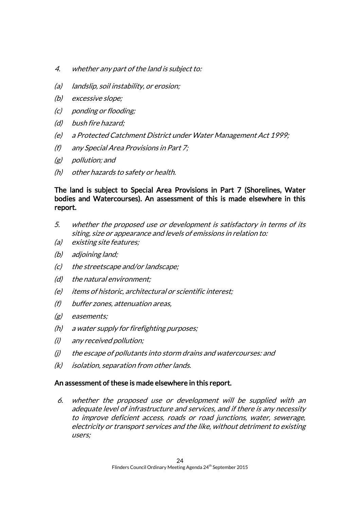- 4. whether any part of the land is subject to:
- (a) landslip, soil instability, or erosion;
- (b) excessive slope;
- (c) ponding or flooding;
- (d) bush fire hazard;
- (e) a Protected Catchment District under Water Management Act 1999;
- (f) any Special Area Provisions in Part 7;
- (g) pollution; and
- (h) other hazards to safety or health.

## The land is subject to Special Area Provisions in Part 7 (Shorelines, Water bodies and Watercourses). An assessment of this is made elsewhere in this report.

- 5. whether the proposed use or development is satisfactory in terms of its siting, size or appearance and levels of emissions in relation to:
- (a) existing site features;
- (b) adjoining land;
- (c) the streetscape and/or landscape;
- (d) the natural environment;
- (e) items of historic, architectural or scientific interest;
- (f) buffer zones, attenuation areas,
- (g) easements;
- (h) a water supply for firefighting purposes;
- (i) any received pollution;
- (j) the escape of pollutants into storm drains and watercourses: and
- (k) isolation, separation from other lands.

#### An assessment of these is made elsewhere in this report.

6. whether the proposed use or development will be supplied with an adequate level of infrastructure and services, and if there is any necessity to improve deficient access, roads or road junctions, water, sewerage, electricity or transport services and the like, without detriment to existing users;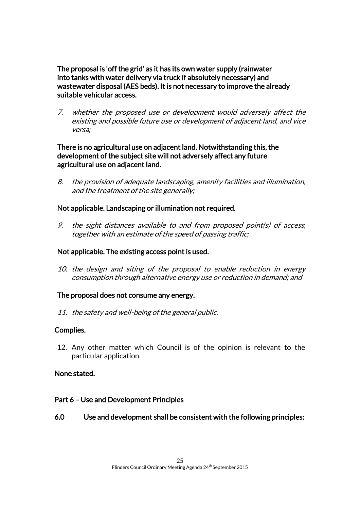The proposal is 'off the grid' as it has its own water supply (rainwater into tanks with water delivery via truck if absolutely necessary) and wastewater disposal (AES beds). It is not necessary to improve the already suitable vehicular access.

7. whether the proposed use or development would adversely affect the existing and possible future use or development of adjacent land, and vice versa;

## There is no agricultural use on adjacent land. Notwithstanding this, the development of the subject site will not adversely affect any future agricultural use on adjacent land.

8. the provision of adequate landscaping, amenity facilities and illumination, and the treatment of the site generally;

## Not applicable. Landscaping or illumination not required.

9. the sight distances available to and from proposed point(s) of access, together with an estimate of the speed of passing traffic;

## Not applicable. The existing access point is used.

10. the design and siting of the proposal to enable reduction in energy consumption through alternative energy use or reduction in demand; and

## The proposal does not consume any energy.

11. the safety and well-being of the general public.

## Complies.

12. Any other matter which Council is of the opinion is relevant to the particular application.

## None stated.

## Part 6 – Use and Development Principles

## 6.0 Use and development shall be consistent with the following principles: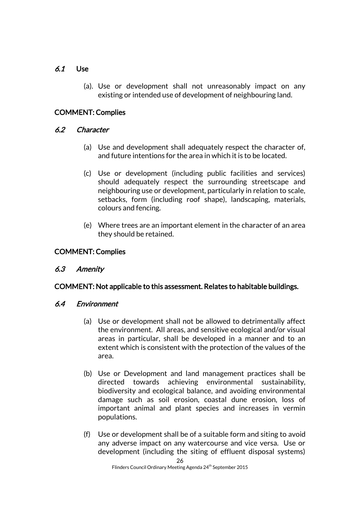## 6.1 Use

(a). Use or development shall not unreasonably impact on any existing or intended use of development of neighbouring land.

## COMMENT: Complies

## 6.2 Character

- (a) Use and development shall adequately respect the character of, and future intentions for the area in which it is to be located.
- (c) Use or development (including public facilities and services) should adequately respect the surrounding streetscape and neighbouring use or development, particularly in relation to scale, setbacks, form (including roof shape), landscaping, materials, colours and fencing.
- (e) Where trees are an important element in the character of an area they should be retained.

## COMMENT: Complies

## 6.3 Amenity

## COMMENT: Not applicable to this assessment. Relates to habitable buildings.

## 6.4 Environment

- (a) Use or development shall not be allowed to detrimentally affect the environment. All areas, and sensitive ecological and/or visual areas in particular, shall be developed in a manner and to an extent which is consistent with the protection of the values of the area.
- (b) Use or Development and land management practices shall be directed towards achieving environmental sustainability, biodiversity and ecological balance, and avoiding environmental damage such as soil erosion, coastal dune erosion, loss of important animal and plant species and increases in vermin populations.
- (f) Use or development shall be of a suitable form and siting to avoid any adverse impact on any watercourse and vice versa. Use or development (including the siting of effluent disposal systems)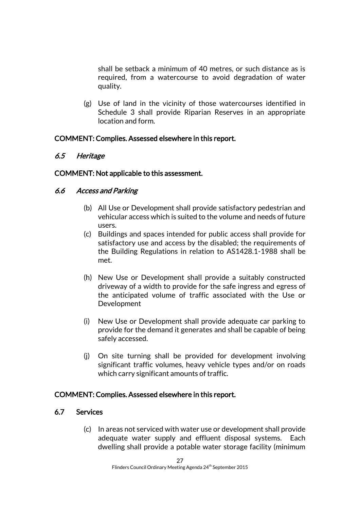shall be setback a minimum of 40 metres, or such distance as is required, from a watercourse to avoid degradation of water quality.

(g) Use of land in the vicinity of those watercourses identified in Schedule 3 shall provide Riparian Reserves in an appropriate location and form.

## COMMENT: Complies. Assessed elsewhere in this report.

## 6.5 Heritage

## COMMENT: Not applicable to this assessment.

## 6.6 Access and Parking

- (b) All Use or Development shall provide satisfactory pedestrian and vehicular access which is suited to the volume and needs of future users.
- (c) Buildings and spaces intended for public access shall provide for satisfactory use and access by the disabled; the requirements of the Building Regulations in relation to AS1428.1-1988 shall be met.
- (h) New Use or Development shall provide a suitably constructed driveway of a width to provide for the safe ingress and egress of the anticipated volume of traffic associated with the Use or Development
- (i) New Use or Development shall provide adequate car parking to provide for the demand it generates and shall be capable of being safely accessed.
- (j) On site turning shall be provided for development involving significant traffic volumes, heavy vehicle types and/or on roads which carry significant amounts of traffic.

## COMMENT: Complies. Assessed elsewhere in this report.

## 6.7 Services

(c) In areas not serviced with water use or development shall provide adequate water supply and effluent disposal systems. Each dwelling shall provide a potable water storage facility (minimum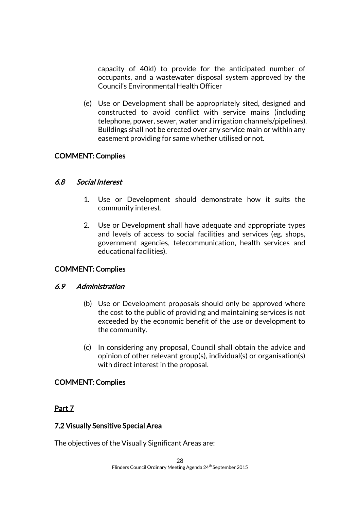capacity of 40kl) to provide for the anticipated number of occupants, and a wastewater disposal system approved by the Council's Environmental Health Officer

(e) Use or Development shall be appropriately sited, designed and constructed to avoid conflict with service mains (including telephone, power, sewer, water and irrigation channels/pipelines). Buildings shall not be erected over any service main or within any easement providing for same whether utilised or not.

## COMMENT: Complies

## 6.8 Social Interest

- 1. Use or Development should demonstrate how it suits the community interest.
- 2. Use or Development shall have adequate and appropriate types and levels of access to social facilities and services (eg. shops, government agencies, telecommunication, health services and educational facilities).

## COMMENT: Complies

## 6.9 Administration

- (b) Use or Development proposals should only be approved where the cost to the public of providing and maintaining services is not exceeded by the economic benefit of the use or development to the community.
- (c) In considering any proposal, Council shall obtain the advice and opinion of other relevant group(s), individual(s) or organisation(s) with direct interest in the proposal.

## COMMENT: Complies

## Part 7

## 7.2 Visually Sensitive Special Area

The objectives of the Visually Significant Areas are: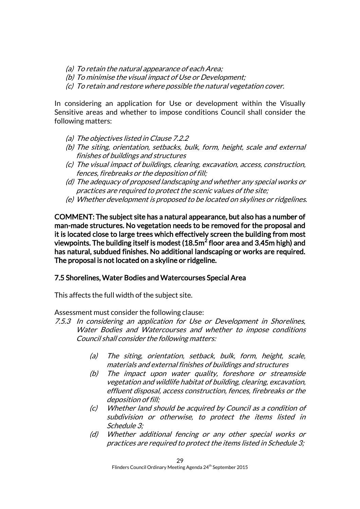- (a) To retain the natural appearance of each Area;
- (b) To minimise the visual impact of Use or Development;
- (c) To retain and restore where possible the natural vegetation cover.

In considering an application for Use or development within the Visually Sensitive areas and whether to impose conditions Council shall consider the following matters:

- (a) The objectives listed in Clause 7.2.2
- (b) The siting, orientation, setbacks, bulk, form, height, scale and external finishes of buildings and structures
- (c) The visual impact of buildings, clearing, excavation, access, construction, fences, firebreaks or the deposition of fill;
- (d) The adequacy of proposed landscaping and whether any special works or practices are required to protect the scenic values of the site;
- (e) Whether development is proposed to be located on skylines or ridgelines.

COMMENT: The subject site has a natural appearance, but also has a number of man-made structures. No vegetation needs to be removed for the proposal and it is located close to large trees which effectively screen the building from most viewpoints. The building itself is modest (18.5m $^2$  floor area and 3.45m high) and has natural, subdued finishes. No additional landscaping or works are required. The proposal is not located on a skyline or ridgeline.

#### 7.5 Shorelines, Water Bodies and Watercourses Special Area

This affects the full width of the subject site.

Assessment must consider the following clause:

- 7.5.3 In considering an application for Use or Development in Shorelines, Water Bodies and Watercourses and whether to impose conditions Council shall consider the following matters:
	- (a) The siting, orientation, setback, bulk, form, height, scale, materials and external finishes of buildings and structures
	- (b) The impact upon water quality, foreshore or streamside vegetation and wildlife habitat of building, clearing, excavation, effluent disposal, access construction, fences, firebreaks or the deposition of fill;
	- (c) Whether land should be acquired by Council as a condition of subdivision or otherwise, to protect the items listed in Schedule 3;
	- (d) Whether additional fencing or any other special works or practices are required to protect the items listed in Schedule 3;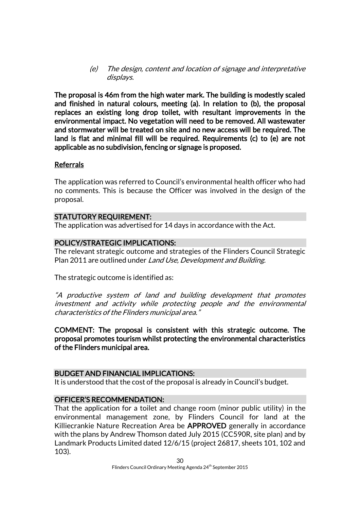(e) The design, content and location of signage and interpretative displays.

The proposal is 46m from the high water mark. The building is modestly scaled and finished in natural colours, meeting (a). In relation to (b), the proposal replaces an existing long drop toilet, with resultant improvements in the environmental impact. No vegetation will need to be removed. All wastewater and stormwater will be treated on site and no new access will be required. The land is flat and minimal fill will be required. Requirements (c) to (e) are not applicable as no subdivision, fencing or signage is proposed.

#### Referrals

The application was referred to Council's environmental health officer who had no comments. This is because the Officer was involved in the design of the proposal.

### STATUTORY REQUIREMENT:

The application was advertised for 14 days in accordance with the Act.

## POLICY/STRATEGIC IMPLICATIONS:

The relevant strategic outcome and strategies of the Flinders Council Strategic Plan 2011 are outlined under Land Use, Development and Building.

The strategic outcome is identified as:

"A productive system of land and building development that promotes investment and activity while protecting people and the environmental characteristics of the Flinders municipal area."

COMMENT: The proposal is consistent with this strategic outcome. The proposal promotes tourism whilst protecting the environmental characteristics of the Flinders municipal area.

#### BUDGET AND FINANCIAL IMPLICATIONS:

It is understood that the cost of the proposal is already in Council's budget.

## OFFICER'S RECOMMENDATION:

That the application for a toilet and change room (minor public utility) in the environmental management zone, by Flinders Council for land at the Killiecrankie Nature Recreation Area be APPROVED generally in accordance with the plans by Andrew Thomson dated July 2015 (CC590R, site plan) and by Landmark Products Limited dated 12/6/15 (project 26817, sheets 101, 102 and 103).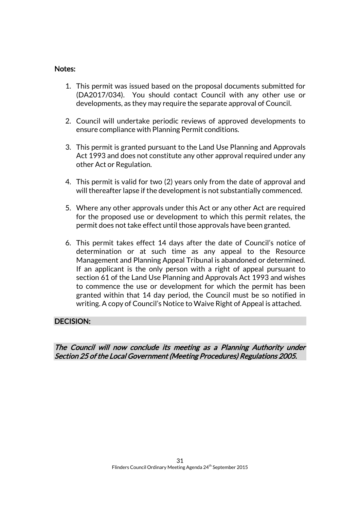#### Notes:

- 1. This permit was issued based on the proposal documents submitted for (DA2017/034). You should contact Council with any other use or developments, as they may require the separate approval of Council.
- 2. Council will undertake periodic reviews of approved developments to ensure compliance with Planning Permit conditions.
- 3. This permit is granted pursuant to the Land Use Planning and Approvals Act 1993 and does not constitute any other approval required under any other Act or Regulation.
- 4. This permit is valid for two (2) years only from the date of approval and will thereafter lapse if the development is not substantially commenced.
- 5. Where any other approvals under this Act or any other Act are required for the proposed use or development to which this permit relates, the permit does not take effect until those approvals have been granted.
- 6. This permit takes effect 14 days after the date of Council's notice of determination or at such time as any appeal to the Resource Management and Planning Appeal Tribunal is abandoned or determined. If an applicant is the only person with a right of appeal pursuant to section 61 of the Land Use Planning and Approvals Act 1993 and wishes to commence the use or development for which the permit has been granted within that 14 day period, the Council must be so notified in writing. A copy of Council's Notice to Waive Right of Appeal is attached.

## DECISION:

The Council will now conclude its meeting as a Planning Authority under Section 25 of the Local Government (Meeting Procedures) Regulations 2005.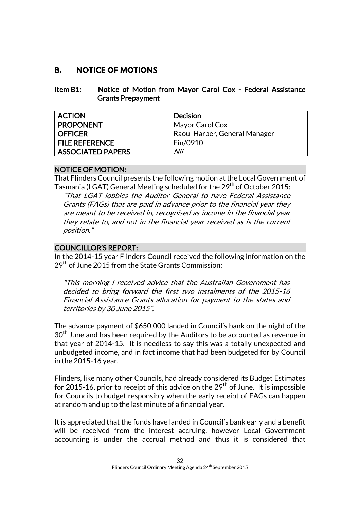## **B. NOTICE OF MOTIONS**

#### Item B1: Notice of Motion from Mayor Carol Cox - Federal Assistance Grants Prepayment

| <b>ACTION</b>            | <b>Decision</b>               |
|--------------------------|-------------------------------|
| <b>PROPONENT</b>         | Mayor Carol Cox               |
| <b>OFFICER</b>           | Raoul Harper, General Manager |
| <b>FILE REFERENCE</b>    | Fin/0910                      |
| <b>ASSOCIATED PAPERS</b> | Nil                           |

### NOTICE OF MOTION:

That Flinders Council presents the following motion at the Local Government of Tasmania (LGAT) General Meeting scheduled for the 29<sup>th</sup> of October 2015:

"That LGAT lobbies the Auditor General to have Federal Assistance Grants (FAGs) that are paid in advance prior to the financial year they are meant to be received in, recognised as income in the financial year they relate to, and not in the financial year received as is the current position."

## COUNCILLOR'S REPORT:

In the 2014-15 year Flinders Council received the following information on the  $29<sup>th</sup>$  of June 2015 from the State Grants Commission:

"This morning I received advice that the Australian Government has decided to bring forward the first two instalments of the 2015-16 Financial Assistance Grants allocation for payment to the states and territories by 30 June 2015".

The advance payment of \$650,000 landed in Council's bank on the night of the  $30<sup>th</sup>$  June and has been required by the Auditors to be accounted as revenue in that year of 2014-15. It is needless to say this was a totally unexpected and unbudgeted income, and in fact income that had been budgeted for by Council in the 2015-16 year.

Flinders, like many other Councils, had already considered its Budget Estimates for 2015-16, prior to receipt of this advice on the  $29<sup>th</sup>$  of June. It is impossible for Councils to budget responsibly when the early receipt of FAGs can happen at random and up to the last minute of a financial year.

It is appreciated that the funds have landed in Council's bank early and a benefit will be received from the interest accruing, however Local Government accounting is under the accrual method and thus it is considered that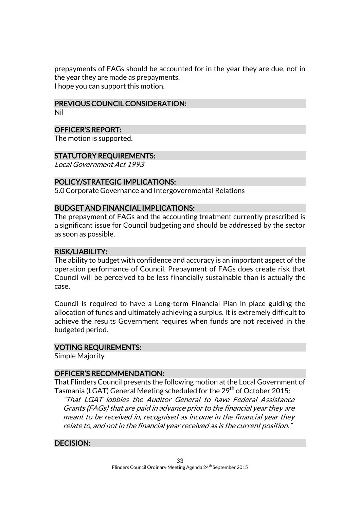prepayments of FAGs should be accounted for in the year they are due, not in the year they are made as prepayments. I hope you can support this motion.

#### PREVIOUS COUNCIL CONSIDERATION:

Nil

## OFFICER'S REPORT:

The motion is supported.

### STATUTORY REQUIREMENTS:

Local Government Act 1993

### POLICY/STRATEGIC IMPLICATIONS:

5.0 Corporate Governance and Intergovernmental Relations

#### BUDGET AND FINANCIAL IMPLICATIONS:

The prepayment of FAGs and the accounting treatment currently prescribed is a significant issue for Council budgeting and should be addressed by the sector as soon as possible.

### RISK/LIABILITY:

The ability to budget with confidence and accuracy is an important aspect of the operation performance of Council. Prepayment of FAGs does create risk that Council will be perceived to be less financially sustainable than is actually the case.

Council is required to have a Long-term Financial Plan in place guiding the allocation of funds and ultimately achieving a surplus. It is extremely difficult to achieve the results Government requires when funds are not received in the budgeted period.

#### VOTING REQUIREMENTS:

Simple Majority

#### OFFICER'S RECOMMENDATION:

That Flinders Council presents the following motion at the Local Government of Tasmania (LGAT) General Meeting scheduled for the 29<sup>th</sup> of October 2015: "That LGAT lobbies the Auditor General to have Federal Assistance Grants (FAGs) that are paid in advance prior to the financial year they are meant to be received in, recognised as income in the financial year they relate to, and not in the financial year received as is the current position."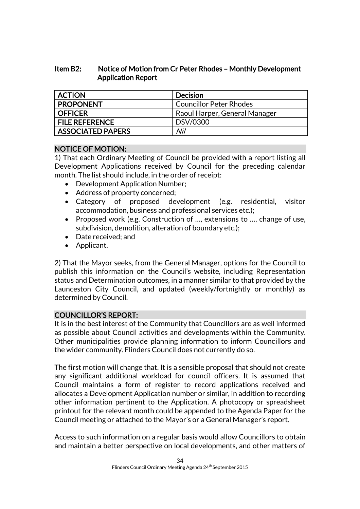## Item B2: Notice of Motion from Cr Peter Rhodes – Monthly Development Application Report

| <b>ACTION</b>            | <b>Decision</b>                |
|--------------------------|--------------------------------|
| <b>PROPONENT</b>         | <b>Councillor Peter Rhodes</b> |
| <b>OFFICER</b>           | Raoul Harper, General Manager  |
| <b>FILE REFERENCE</b>    | DSV/0300                       |
| <b>ASSOCIATED PAPERS</b> | Nil                            |

## NOTICE OF MOTION:

1) That each Ordinary Meeting of Council be provided with a report listing all Development Applications received by Council for the preceding calendar month. The list should include, in the order of receipt:

- Development Application Number;
- Address of property concerned;
- Category of proposed development (e.g. residential, visitor accommodation, business and professional services etc.);
- Proposed work (e.g. Construction of ..., extensions to ..., change of use, subdivision, demolition, alteration of boundary etc.);
- Date received: and
- Applicant.

2) That the Mayor seeks, from the General Manager, options for the Council to publish this information on the Council's website, including Representation status and Determination outcomes, in a manner similar to that provided by the Launceston City Council, and updated (weekly/fortnightly or monthly) as determined by Council.

## COUNCILLOR'S REPORT:

It is in the best interest of the Community that Councillors are as well informed as possible about Council activities and developments within the Community. Other municipalities provide planning information to inform Councillors and the wider community. Flinders Council does not currently do so.

The first motion will change that. It is a sensible proposal that should not create any significant additional workload for council officers. It is assumed that Council maintains a form of register to record applications received and allocates a Development Application number or similar, in addition to recording other information pertinent to the Application. A photocopy or spreadsheet printout for the relevant month could be appended to the Agenda Paper for the Council meeting or attached to the Mayor's or a General Manager's report.

Access to such information on a regular basis would allow Councillors to obtain and maintain a better perspective on local developments, and other matters of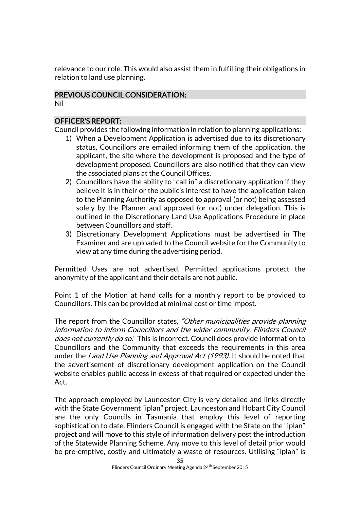relevance to our role. This would also assist them in fulfilling their obligations in relation to land use planning.

## PREVIOUS COUNCIL CONSIDERATION:

Nil

## OFFICER'S REPORT:

Council provides the following information in relation to planning applications:

- 1) When a Development Application is advertised due to its discretionary status, Councillors are emailed informing them of the application, the applicant, the site where the development is proposed and the type of development proposed. Councillors are also notified that they can view the associated plans at the Council Offices.
- 2) Councillors have the ability to "call in" a discretionary application if they believe it is in their or the public's interest to have the application taken to the Planning Authority as opposed to approval (or not) being assessed solely by the Planner and approved (or not) under delegation. This is outlined in the Discretionary Land Use Applications Procedure in place between Councillors and staff.
- 3) Discretionary Development Applications must be advertised in The Examiner and are uploaded to the Council website for the Community to view at any time during the advertising period.

Permitted Uses are not advertised. Permitted applications protect the anonymity of the applicant and their details are not public.

Point 1 of the Motion at hand calls for a monthly report to be provided to Councillors. This can be provided at minimal cost or time impost.

The report from the Councillor states, "Other municipalities provide planning information to inform Councillors and the wider community. Flinders Council does not currently do so." This is incorrect. Council does provide information to Councillors and the Community that exceeds the requirements in this area under the Land Use Planning and Approval Act (1993). It should be noted that the advertisement of discretionary development application on the Council website enables public access in excess of that required or expected under the Act.

The approach employed by Launceston City is very detailed and links directly with the State Government "iplan" project. Launceston and Hobart City Council are the only Councils in Tasmania that employ this level of reporting sophistication to date. Flinders Council is engaged with the State on the "iplan" project and will move to this style of information delivery post the introduction of the Statewide Planning Scheme. Any move to this level of detail prior would be pre-emptive, costly and ultimately a waste of resources. Utilising "iplan" is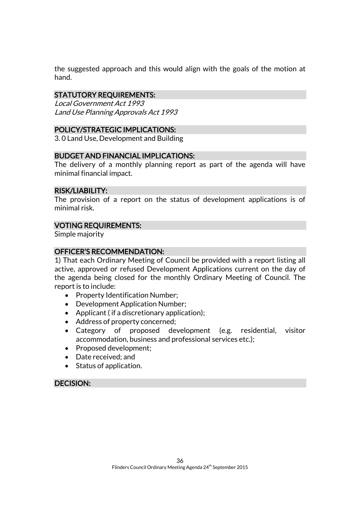the suggested approach and this would align with the goals of the motion at hand.

## STATUTORY REQUIREMENTS:

Local Government Act 1993 Land Use Planning Approvals Act 1993

## POLICY/STRATEGIC IMPLICATIONS:

3. 0 Land Use, Development and Building

#### BUDGET AND FINANCIAL IMPLICATIONS:

The delivery of a monthly planning report as part of the agenda will have minimal financial impact.

#### RISK/LIABILITY:

The provision of a report on the status of development applications is of minimal risk.

#### VOTING REQUIREMENTS:

Simple majority

### OFFICER'S RECOMMENDATION:

1) That each Ordinary Meeting of Council be provided with a report listing all active, approved or refused Development Applications current on the day of the agenda being closed for the monthly Ordinary Meeting of Council. The report is to include:

- Property Identification Number;
- Development Application Number;
- Applicant (if a discretionary application);
- Address of property concerned;
- Category of proposed development (e.g. residential, visitor accommodation, business and professional services etc.);
- Proposed development;
- Date received; and
- Status of application.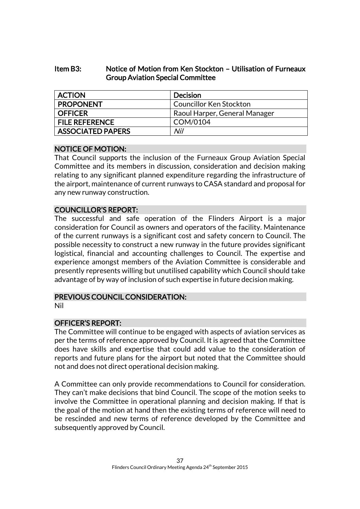## Item B3: Notice of Motion from Ken Stockton – Utilisation of Furneaux Group Aviation Special Committee

| <b>ACTION</b>            | <b>Decision</b>                |
|--------------------------|--------------------------------|
| <b>PROPONENT</b>         | <b>Councillor Ken Stockton</b> |
| <b>OFFICER</b>           | Raoul Harper, General Manager  |
| <b>FILE REFERENCE</b>    | COM/0104                       |
| <b>ASSOCIATED PAPERS</b> | Nil                            |

## NOTICE OF MOTION:

That Council supports the inclusion of the Furneaux Group Aviation Special Committee and its members in discussion, consideration and decision making relating to any significant planned expenditure regarding the infrastructure of the airport, maintenance of current runways to CASA standard and proposal for any new runway construction.

## COUNCILLOR'S REPORT:

The successful and safe operation of the Flinders Airport is a major consideration for Council as owners and operators of the facility. Maintenance of the current runways is a significant cost and safety concern to Council. The possible necessity to construct a new runway in the future provides significant logistical, financial and accounting challenges to Council. The expertise and experience amongst members of the Aviation Committee is considerable and presently represents willing but unutilised capability which Council should take advantage of by way of inclusion of such expertise in future decision making.

## PREVIOUS COUNCIL CONSIDERATION:

Nil

## OFFICER'S REPORT:

The Committee will continue to be engaged with aspects of aviation services as per the terms of reference approved by Council. It is agreed that the Committee does have skills and expertise that could add value to the consideration of reports and future plans for the airport but noted that the Committee should not and does not direct operational decision making.

A Committee can only provide recommendations to Council for consideration. They can't make decisions that bind Council. The scope of the motion seeks to involve the Committee in operational planning and decision making. If that is the goal of the motion at hand then the existing terms of reference will need to be rescinded and new terms of reference developed by the Committee and subsequently approved by Council.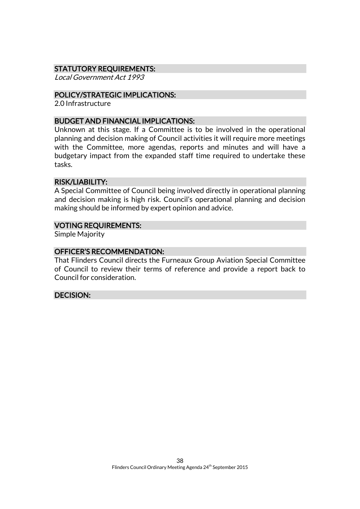## STATUTORY REQUIREMENTS:

Local Government Act 1993

#### POLICY/STRATEGIC IMPLICATIONS:

2.0 Infrastructure

#### BUDGET AND FINANCIAL IMPLICATIONS:

Unknown at this stage. If a Committee is to be involved in the operational planning and decision making of Council activities it will require more meetings with the Committee, more agendas, reports and minutes and will have a budgetary impact from the expanded staff time required to undertake these tasks.

#### RISK/LIABILITY:

A Special Committee of Council being involved directly in operational planning and decision making is high risk. Council's operational planning and decision making should be informed by expert opinion and advice.

#### VOTING REQUIREMENTS:

Simple Majority

## OFFICER'S RECOMMENDATION:

That Flinders Council directs the Furneaux Group Aviation Special Committee of Council to review their terms of reference and provide a report back to Council for consideration.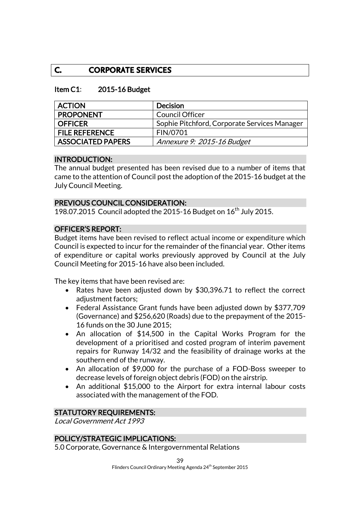## **C. CORPORATE SERVICES**

#### Item C1: 2015-16 Budget

| <b>ACTION</b>            | Decision                                     |
|--------------------------|----------------------------------------------|
| <b>PROPONENT</b>         | <b>Council Officer</b>                       |
| <b>OFFICER</b>           | Sophie Pitchford, Corporate Services Manager |
| <b>FILE REFERENCE</b>    | FIN/0701                                     |
| <b>ASSOCIATED PAPERS</b> | Annexure 9: 2015-16 Budget                   |

#### INTRODUCTION:

The annual budget presented has been revised due to a number of items that came to the attention of Council postthe adoption of the 2015-16 budget at the July Council Meeting.

#### PREVIOUS COUNCIL CONSIDERATION:

198.07.2015 Council adopted the 2015-16 Budget on  $16^{th}$  July 2015.

#### OFFICER'S REPORT:

Budget items have been revised to reflect actual income or expenditure which Council is expected to incur for the remainder of the financial year. Other items of expenditure or capital works previously approved by Council at the July Council Meeting for 2015-16 have also been included.

The key items that have been revised are:

- Rates have been adjusted down by \$30,396.71 to reflect the correct adjustment factors;
- Federal Assistance Grant funds have been adjusted down by \$377,709 (Governance) and \$256,620 (Roads) due to the prepayment of the 2015- 16 funds on the 30 June 2015;
- An allocation of \$14,500 in the Capital Works Program for the development of a prioritised and costed program of interim pavement repairs for Runway 14/32 and the feasibility of drainage works at the southern end of the runway.
- An allocation of \$9,000 for the purchase of a FOD-Boss sweeper to decrease levels of foreign object debris (FOD) on the airstrip.
- An additional \$15,000 to the Airport for extra internal labour costs associated with the management of the FOD.

#### STATUTORY REQUIREMENTS:

Local Government Act 1993

## POLICY/STRATEGIC IMPLICATIONS:

5.0 Corporate, Governance & Intergovernmental Relations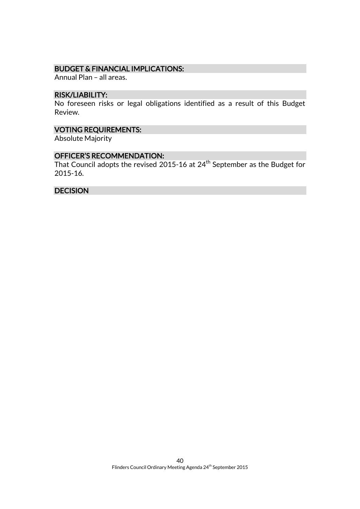### BUDGET & FINANCIAL IMPLICATIONS:

Annual Plan – all areas.

#### RISK/LIABILITY:

No foreseen risks or legal obligations identified as a result of this Budget Review.

## VOTING REQUIREMENTS:

Absolute Majority

### OFFICER'S RECOMMENDATION:

That Council adopts the revised 2015-16 at 24th September as the Budget for 2015-16.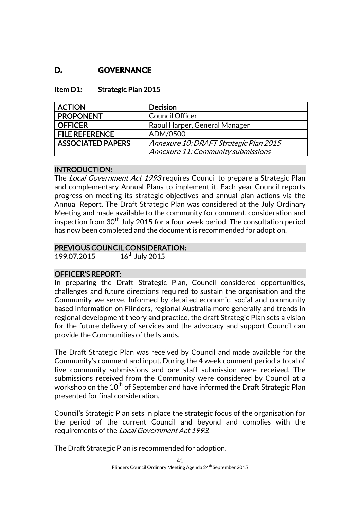## **D. GOVERNANCE**

#### Item D1: Strategic Plan 2015

| <b>ACTION</b>            | <b>Decision</b>                        |
|--------------------------|----------------------------------------|
| <b>PROPONENT</b>         | <b>Council Officer</b>                 |
| <b>OFFICER</b>           | Raoul Harper, General Manager          |
| <b>FILE REFERENCE</b>    | ADM/0500                               |
| <b>ASSOCIATED PAPERS</b> | Annexure 10: DRAFT Strategic Plan 2015 |
|                          | Annexure 11: Community submissions     |

#### INTRODUCTION:

The Local Government Act 1993 requires Council to prepare a Strategic Plan and complementary Annual Plans to implement it. Each year Council reports progress on meeting its strategic objectives and annual plan actions via the Annual Report. The Draft Strategic Plan was considered at the July Ordinary Meeting and made available to the community for comment, consideration and inspection from  $30<sup>th</sup>$  July 2015 for a four week period. The consultation period has now been completed and the document is recommended for adoption.

### PREVIOUS COUNCIL CONSIDERATION:

199.07.2015 16<sup>th</sup> July 2015

#### OFFICER'S REPORT:

In preparing the Draft Strategic Plan, Council considered opportunities, challenges and future directions required to sustain the organisation and the Community we serve. Informed by detailed economic, social and community based information on Flinders, regional Australia more generally and trends in regional development theory and practice, the draft Strategic Plan sets a vision for the future delivery of services and the advocacy and support Council can provide the Communities of the Islands.

The Draft Strategic Plan was received by Council and made available for the Community's comment and input. During the 4 week comment period a total of five community submissions and one staff submission were received. The submissions received from the Community were considered by Council at a workshop on the  $10<sup>th</sup>$  of September and have informed the Draft Strategic Plan presented for final consideration.

Council's Strategic Plan sets in place the strategic focus of the organisation for the period of the current Council and beyond and complies with the requirements of the Local Government Act 1993.

The Draft Strategic Plan is recommended for adoption.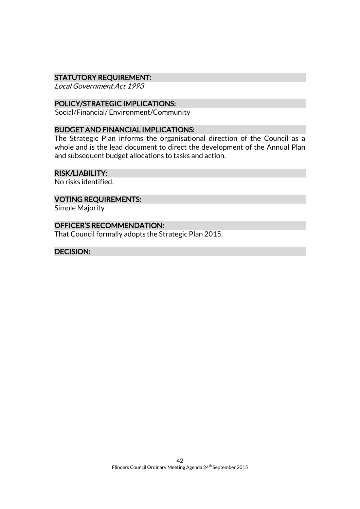#### STATUTORY REQUIREMENT:

Local Government Act 1993

## POLICY/STRATEGIC IMPLICATIONS:

Social/Financial/ Environment/Community

#### BUDGET AND FINANCIAL IMPLICATIONS:

The Strategic Plan informs the organisational direction of the Council as a whole and is the lead document to direct the development of the Annual Plan and subsequent budget allocations to tasks and action.

#### RISK/LIABILITY:

No risks identified.

#### VOTING REQUIREMENTS:

Simple Majority

### OFFICER'S RECOMMENDATION:

That Council formally adopts the Strategic Plan 2015.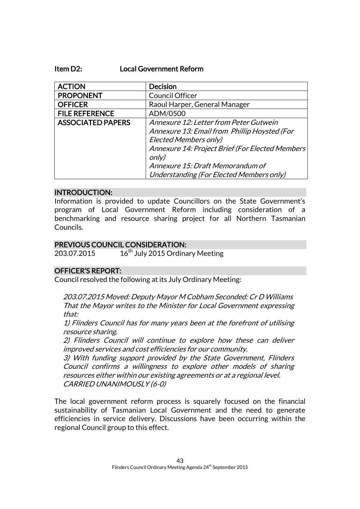#### Item D2: Local Government Reform

| <b>ACTION</b>            | <b>Decision</b>                                  |
|--------------------------|--------------------------------------------------|
| <b>PROPONENT</b>         | <b>Council Officer</b>                           |
| <b>OFFICER</b>           | Raoul Harper, General Manager                    |
| <b>FILE REFERENCE</b>    | ADM/0500                                         |
| <b>ASSOCIATED PAPERS</b> | Annexure 12: Letter from Peter Gutwein           |
|                          | Annexure 13: Email from Phillip Hoysted (For     |
|                          | <b>Elected Members only)</b>                     |
|                          | Annexure 14: Project Brief (For Elected Members) |
|                          | only)                                            |
|                          | Annexure 15: Draft Memorandum of                 |
|                          | Understanding (For Elected Members only)         |

#### INTRODUCTION:

Information is provided to update Councillors on the State Government's program of Local Government Reform including consideration of a benchmarking and resource sharing project for all Northern Tasmanian Councils.

#### PREVIOUS COUNCIL CONSIDERATION:

203.07.2015 16<sup>th</sup> July 2015 Ordinary Meeting

#### OFFICER'S REPORT:

Council resolved the following at its July Ordinary Meeting:

203.07.2015 Moved: Deputy Mayor M Cobham Seconded: Cr D Williams That the Mayor writes to the Minister for Local Government expressing that:

1) Flinders Council has for many years been at the forefront of utilising resource sharing.

2) Flinders Council will continue to explore how these can deliver improved services and cost efficiencies for our community.

3) With funding support provided by the State Government, Flinders Council confirms a willingness to explore other models of sharing resources either within our existing agreements or at a regional level. CARRIED UNANIMOUSLY (6-0)

The local government reform process is squarely focused on the financial sustainability of Tasmanian Local Government and the need to generate efficiencies in service delivery. Discussions have been occurring within the regional Council group to this effect.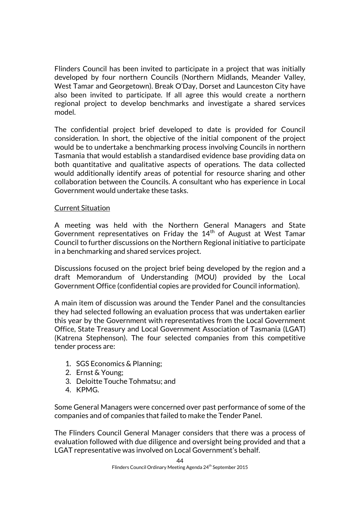Flinders Council has been invited to participate in a project that was initially developed by four northern Councils (Northern Midlands, Meander Valley, West Tamar and Georgetown). Break O'Day, Dorset and Launceston City have also been invited to participate. If all agree this would create a northern regional project to develop benchmarks and investigate a shared services model.

The confidential project brief developed to date is provided for Council consideration. In short, the objective of the initial component of the project would be to undertake a benchmarking process involving Councils in northern Tasmania that would establish a standardised evidence base providing data on both quantitative and qualitative aspects of operations. The data collected would additionally identify areas of potential for resource sharing and other collaboration between the Councils. A consultant who has experience in Local Government would undertake these tasks.

### Current Situation

A meeting was held with the Northern General Managers and State Government representatives on Friday the 14<sup>th</sup> of August at West Tamar Council to further discussions on the Northern Regional initiative to participate in a benchmarking and shared services project.

Discussions focused on the project brief being developed by the region and a draft Memorandum of Understanding (MOU) provided by the Local Government Office (confidential copies are provided for Council information).

A main item of discussion was around the Tender Panel and the consultancies they had selected following an evaluation process that was undertaken earlier this year by the Government with representatives from the Local Government Office, State Treasury and Local Government Association of Tasmania (LGAT) (Katrena Stephenson). The four selected companies from this competitive tender process are:

- 1. SGS Economics & Planning;
- 2. Ernst & Young;
- 3. Deloitte Touche Tohmatsu; and
- 4. KPMG.

Some General Managers were concerned over past performance of some of the companies and of companies that failed to make the Tender Panel.

The Flinders Council General Manager considers that there was a process of evaluation followed with due diligence and oversight being provided and that a LGAT representative was involved on Local Government's behalf.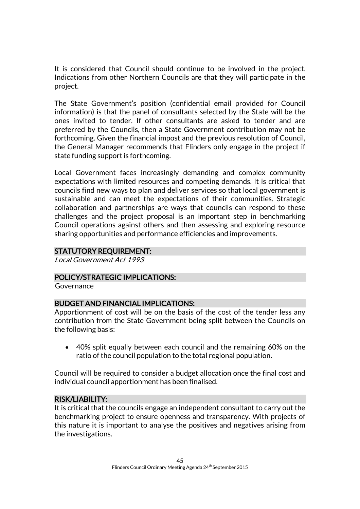It is considered that Council should continue to be involved in the project. Indications from other Northern Councils are that they will participate in the project.

The State Government's position (confidential email provided for Council information) is that the panel of consultants selected by the State will be the ones invited to tender. If other consultants are asked to tender and are preferred by the Councils, then a State Government contribution may not be forthcoming. Given the financial impost and the previous resolution of Council, the General Manager recommends that Flinders only engage in the project if state funding support is forthcoming.

Local Government faces increasingly demanding and complex community expectations with limited resources and competing demands. It is critical that councils find new ways to plan and deliver services so that local government is sustainable and can meet the expectations of their communities. Strategic collaboration and partnerships are ways that councils can respond to these challenges and the project proposal is an important step in benchmarking Council operations against others and then assessing and exploring resource sharing opportunities and performance efficiencies and improvements.

## STATUTORY REQUIREMENT:

Local Government Act 1993

## POLICY/STRATEGIC IMPLICATIONS:

**Governance** 

## BUDGET AND FINANCIAL IMPLICATIONS:

Apportionment of cost will be on the basis of the cost of the tender less any contribution from the State Government being split between the Councils on the following basis:

 40% split equally between each council and the remaining 60% on the ratio of the council population to the total regional population.

Council will be required to consider a budget allocation once the final cost and individual council apportionment has been finalised.

## RISK/LIABILITY:

It is critical that the councils engage an independent consultant to carry out the benchmarking project to ensure openness and transparency. With projects of this nature it is important to analyse the positives and negatives arising from the investigations.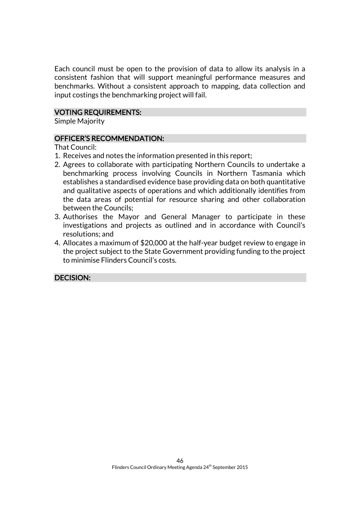Each council must be open to the provision of data to allow its analysis in a consistent fashion that will support meaningful performance measures and benchmarks. Without a consistent approach to mapping, data collection and input costings the benchmarking project will fail.

#### VOTING REQUIREMENTS:

Simple Majority

#### OFFICER'S RECOMMENDATION:

That Council:

- 1. Receives and notes the information presented in this report;
- 2. Agrees to collaborate with participating Northern Councils to undertake a benchmarking process involving Councils in Northern Tasmania which establishes a standardised evidence base providing data on both quantitative and qualitative aspects of operations and which additionally identifies from the data areas of potential for resource sharing and other collaboration between the Councils;
- 3. Authorises the Mayor and General Manager to participate in these investigations and projects as outlined and in accordance with Council's resolutions; and
- 4. Allocates a maximum of \$20,000 at the half-year budget review to engage in the project subject to the State Government providing funding to the project to minimise Flinders Council's costs.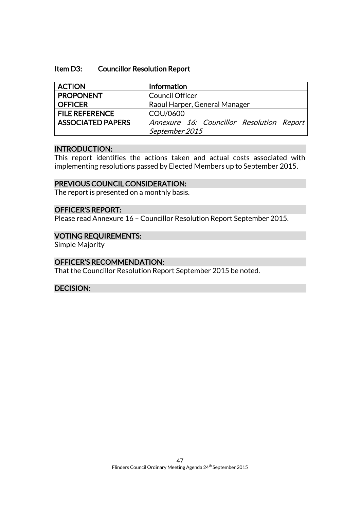#### Item D3: Councillor Resolution Report

| <b>ACTION</b>            | Information                               |
|--------------------------|-------------------------------------------|
| <b>PROPONENT</b>         | <b>Council Officer</b>                    |
| <b>OFFICER</b>           | Raoul Harper, General Manager             |
| <b>FILE REFERENCE</b>    | COU/0600                                  |
| <b>ASSOCIATED PAPERS</b> | Annexure 16: Councillor Resolution Report |
|                          | September 2015                            |

#### INTRODUCTION:

This report identifies the actions taken and actual costs associated with implementing resolutions passed by Elected Members up to September 2015.

#### PREVIOUS COUNCIL CONSIDERATION:

The report is presented on a monthly basis.

## OFFICER'S REPORT:

Please read Annexure 16 – Councillor Resolution Report September 2015.

#### VOTING REQUIREMENTS:

Simple Majority

#### OFFICER'S RECOMMENDATION:

That the Councillor Resolution Report September 2015 be noted.